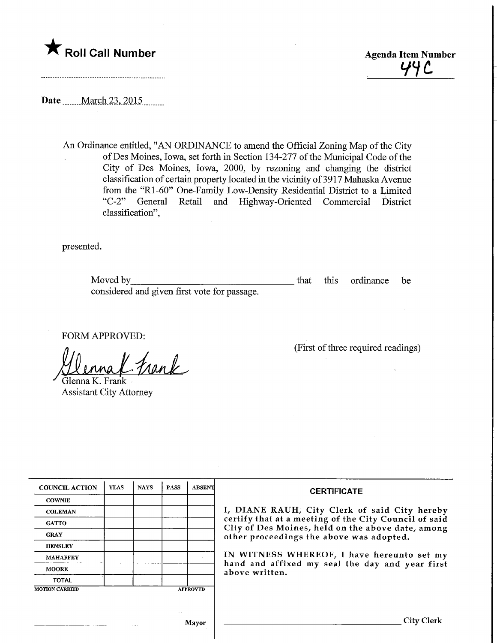

 $44C$ 

Date ........ March 23, 2015

An Ordinance entitled, "AN ORDINANCE to amend the Official Zoning Map of the City ofDes Moines, Iowa, set forth in Section 134-277 of the Municipal Code of the City of Des Moines, Iowa, 2000, by rezoning and changing the district classification of certain property located in the vicinity of 3917 Mahaska Avenue from the "Rl-60" One-Family Low-Density Residential District to a Limited "C-2" General Retail and Highway-Oriented Commercial District classification",

presented.

Moved by that this ordinance be considered and given first vote for passage.

FORM APPROVED:

 $\ell$  frank

Glenna K. Frank Assistant City Attorney

(First of three required readings)

| <b>COUNCIL ACTION</b> | <b>YEAS</b> | <b>NAYS</b> | <b>PASS</b> | <b>ABSENT</b>   | <b>CERTIFICATE</b>                                                                            |
|-----------------------|-------------|-------------|-------------|-----------------|-----------------------------------------------------------------------------------------------|
| <b>COWNIE</b>         |             |             |             |                 |                                                                                               |
| <b>COLEMAN</b>        |             |             |             |                 | I, DIANE RAUH, City Clerk of said City hereby                                                 |
| <b>GATTO</b>          |             |             |             |                 | certify that at a meeting of the City Council of said                                         |
| <b>GRAY</b>           |             |             |             |                 | City of Des Moines, held on the above date, among<br>other proceedings the above was adopted. |
| <b>HENSLEY</b>        |             |             |             |                 |                                                                                               |
| <b>MAHAFFEY</b>       |             |             |             |                 | IN WITNESS WHEREOF, I have hereunto set my                                                    |
| <b>MOORE</b>          |             |             |             |                 | hand and affixed my seal the day and year first<br>above written.                             |
| <b>TOTAL</b>          |             |             |             |                 |                                                                                               |
| <b>MOTION CARRIED</b> |             |             |             | <b>APPROVED</b> |                                                                                               |
|                       |             |             |             |                 |                                                                                               |
|                       |             |             | <b>COLL</b> |                 |                                                                                               |
|                       |             |             |             | Mayor           | City Clerk                                                                                    |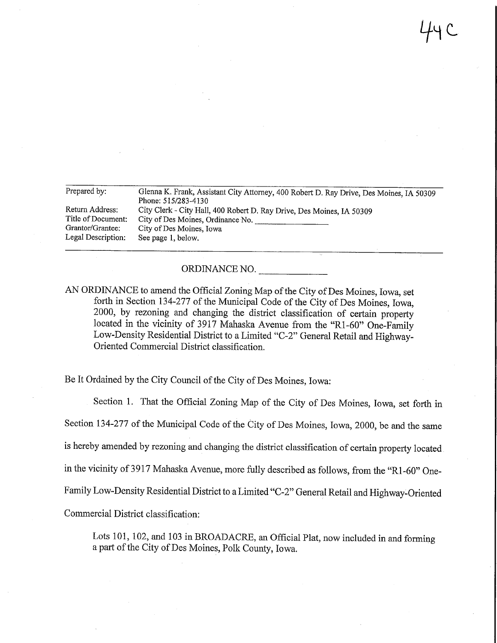$44c$ 

| Prepared by:       | Glenna K. Frank, Assistant City Attorney, 400 Robert D. Ray Drive, Des Moines, IA 50309<br>Phone: 515/283-4130 |
|--------------------|----------------------------------------------------------------------------------------------------------------|
|                    |                                                                                                                |
| Return Address:    | City Clerk - City Hall, 400 Robert D. Ray Drive, Des Moines, IA 50309                                          |
| Title of Document: | City of Des Moines, Ordinance No.                                                                              |
| Grantor/Grantee:   | City of Des Moines, Iowa                                                                                       |
| Legal Description: | See page 1, below.                                                                                             |
|                    |                                                                                                                |

ORDINANCE NO.

AN ORDINANCE to amend the Official Zoning Map of the City of Des Moines, Iowa, set forth in Section 134-277 of the Municipal Code of the City of Des Moines, Iowa, 2000, by rezoning and changing the district classification of certain property located in the vicinity of 3917 Mahaska Avenue from the "Rl-60" One-Family Low-Density Residential District to a Limited "C-2" General Retail and Highway-Oriented Commercial District classification.

Be It Ordained by the City Council of the City of Des Moines, Iowa:

Section 1. That the Official Zoning Map of the City of Des Moines, Iowa, set forth in Section 134-277 of the Municipal Code of the City of Des Moines, Iowa, 2000, be and the same is hereby amended by rezoning and changing the district classification of certain property located in the vicinity of 3917 Mahaska Avenue, more fully described as follows, from the "Rl-60" One-Family Low-Density Residential District to a Limited "C-2" General Retail and Highway-Oriented Commercial District classification:

Lots 101, 102, and 103 in BROADACRE, an Official Plat, now included in and forming a part of the City of Des Moines, Polk County, Iowa.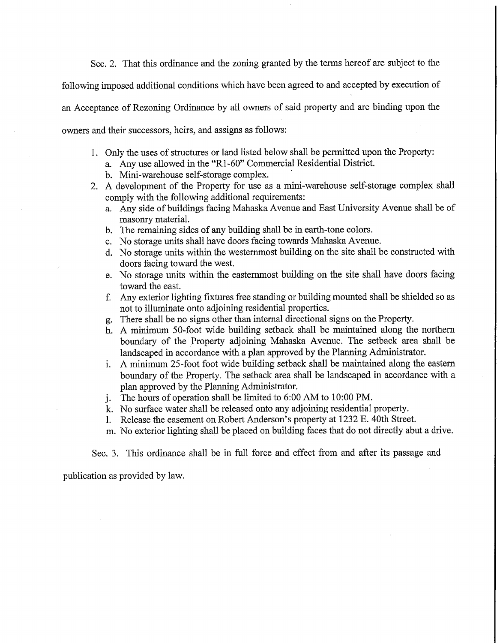Sec. 2. That this ordinance and the zoning granted by the terms hereof are subject to the

following imposed additional conditions which have been agreed to and accepted by execution of

an . Acceptance of Rezoning Ordinance by all owners of said property and are binding upon the

owners and their successors, heirs, and assigns as follows:

- 1. Only the uses of structures or land listed below shall be permitted upon the Property:
	- a. Any use allowed in the "Rl-60" Commercial Residential District.
	- b. Mini-warehouse self-storage complex.
- 2. A development of the Property for use as a mini-warehouse self-storage complex shall comply with the following additional requirements:
	- a. Any side of buildings facing Mahaska Avenue and East University Avenue shall be of masonry material.
	- b. The remaining sides of any building shall be in earth-tone colors.
	- c. No storage units shall have doors facing towards Mahaska Avenue.
	- d. No storage units within the westernmost building on the site shall be constructed with doors facing toward the west.
	- e. No storage units within the eastemmost building on the site shall have doors facing toward the east.
	- f. Any exterior lighting fixtures free standing or building mounted shall be shielded so as not to illuminate onto adjoining residential properties.
	- g. There shall be no signs other than internal directional signs on the Property.
	- h. A minimum 50-foot wide building setback shall be maintained along the northern boundary of the Property adjoining Mahaska Avenue. The setback area shall be landscaped in accordance with a plan approved by the Planning Administrator.
	- i. A minimum 25-foot foot wide building setback shall be maintained along the eastern boundary of the Property. The setback area shall be landscaped in accordance with a plan approved by the Planning Administrator.
	- j. The hours of operation shall be limited to 6:00 AM to 10:00 PM:.
	- k. No surface water shall be released onto any adjoining residential property.
	- 1. Release the easement on Robert Anderson's property at 1232 E. 40th Street.
	- m. No exterior lighting shall be placed on building faces that do not directly abut a drive.

Sec. 3. This ordinance shall be in full force and effect from and after its passage and

publication as provided by law.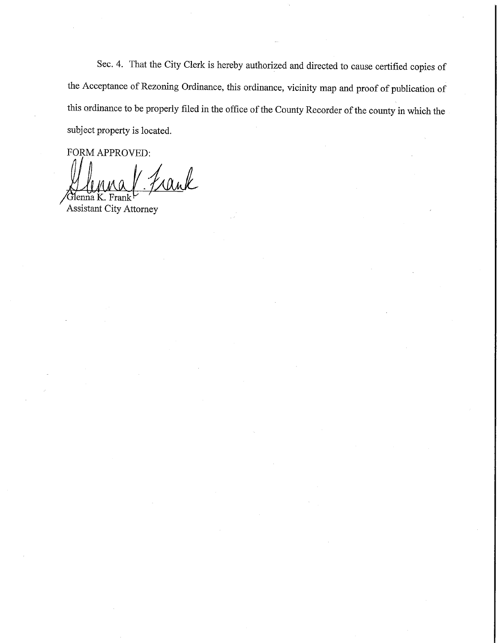Sec. 4. That the City Clerk is hereby authorized and directed to cause certified copies of the Acceptance of Rezoning Ordinance, this ordinance, vicinity map and proof of publication of this ordinance to be properly filed in the office of the County Recorder of the county in which the subject property is located.

FORM APPROVED:

auk

 $\sqrt{U}$ enna K. Frank  $\frac{U}{U}$ Assistant City Attorney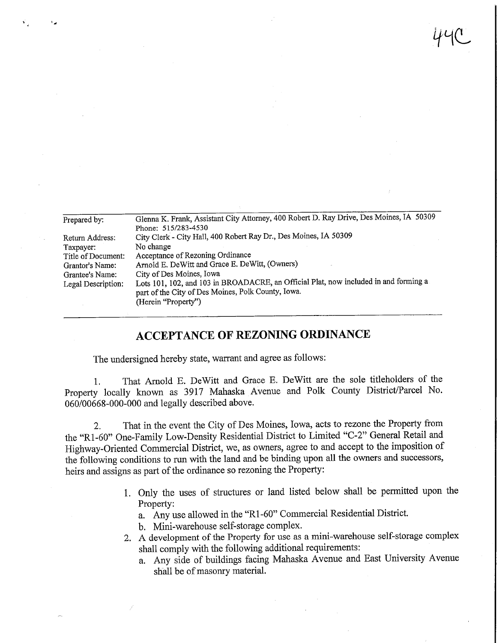| Prepared by:       | Glenna K. Frank, Assistant City Attorney, 400 Robert D. Ray Drive, Des Moines, IA 50309                                                                           |  |  |  |  |  |
|--------------------|-------------------------------------------------------------------------------------------------------------------------------------------------------------------|--|--|--|--|--|
|                    | Phone: 515/283-4530                                                                                                                                               |  |  |  |  |  |
| Return Address:    | City Clerk - City Hall, 400 Robert Ray Dr., Des Moines, IA 50309                                                                                                  |  |  |  |  |  |
| Taxpayer:          | No change                                                                                                                                                         |  |  |  |  |  |
| Title of Document: | Acceptance of Rezoning Ordinance                                                                                                                                  |  |  |  |  |  |
| Grantor's Name:    | Arnold E. DeWitt and Grace E. DeWitt, (Owners)                                                                                                                    |  |  |  |  |  |
| Grantee's Name:    | City of Des Moines, Iowa                                                                                                                                          |  |  |  |  |  |
| Legal Description: | Lots 101, 102, and 103 in BROADACRE, an Official Plat, now included in and forming a<br>part of the City of Des Moines, Polk County, Iowa.<br>(Herein "Property") |  |  |  |  |  |
|                    |                                                                                                                                                                   |  |  |  |  |  |

 $H^1$ 

## ACCEPTANCE OF REZONING ORDINANCE

The undersigned hereby state, warrant and agree as follows:

1. That Arnold E. DeWitt and Grace E. DeWitt are the sole titleholders of the Property locally known as 3917 Mahaska Avenue and Polk County District/Parcel No. 060/00668-000-000 and legally described above.

2. That in the event the City of Des Moines, Iowa, acts to rezone the Property from the "Rl-60" One-Family Low-Density Residential District to Limited "C-2" General Retail and Highway-Oriented Commercial District, we, as owners, agree to and accept to the imposition of the following conditions to run with the land and be binding upon all the owners and successors, heirs and assigns as part of the ordinance so rezoning the Property:

- 1. Only the uses of structures or land listed below shall be permitted upon the Property:
	- a. Any use allowed in the "Rl-60" Commercial Residential District.
	- b. Mini-warehouse self-storage complex.
- 2. A development of the Property for use as a mini-warehouse self-storage complex shall comply with the following additional requirements:
	- a. Any side of buildings facing Mahaska Avenue and East University Avenue shall be of masonry material.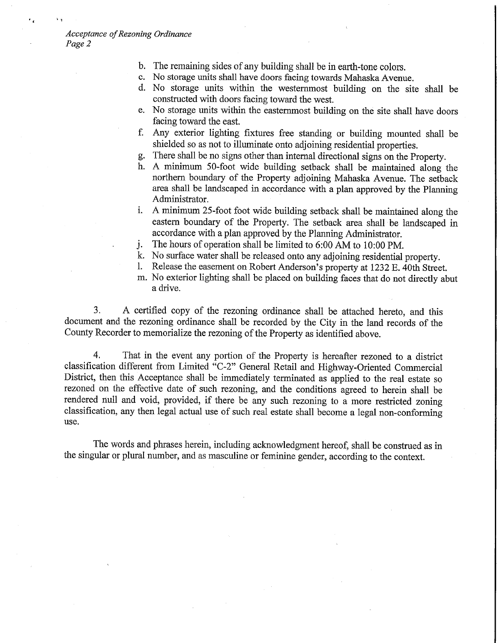- b. The remaining sides of any building shall be in earth-tone colors.<br>c. No storage units shall have doors facing towards Mahaska Avenu
- No storage units shall have doors facing towards Mahaska Avenue.
- d. No storage units within the westernmost building on the site shall be constructed with doors facing toward the west.
- e. No storage units within the eastemmost building on the site shall have doors facing toward the east.
- f. Any exterior lighting fixtares free standing or building mounted shall be shielded so as not to illuminate onto adjoining residential properties.
- g. There shall be no signs other than internal directional signs on the Property.
- h. A minimum 50-foot wide building setback shall be maintained along the northern boundary of the Property adjoining Mahaska Avenue. The setback area shall be landscaped in accordance with a plan approved by the Planning Administrator.
- i. A minimum 25-foot foot wide building setback shall be maintained along the eastern boundary of the Property. The setback area shall be landscaped in accordance with a plan approved by the Planning Administrator.
- j. The hours of operation shall be limited to 6:00 AM to 10:00 PM.
- k. No surface water shall be released onto any adjoining residential property.
- Release the easement on Robert Anderson's property at 1232 E. 40th Street.
- m. No exterior lighting shall be placed on building faces that do not directly abut a drive.

3. A certified copy of the rezoning ordinance shall be attached hereto, and this document and the rezoning ordinance shall be recorded by the City in the land records of the County Recorder to memorialize the rezoning of the Property as identified above.

4. That in the event any portion of the Property is hereafter rezoned to a district classification different from Limited "C-2" General Retail and Highway-Oriented Commercial District, then this Acceptance shall be immediately terminated as applied to the real estate so rezoned on the effective date of such rezoning, and the conditions agreed to herein shall be rendered null and void, provided, if there be any such rezoning to a more restricted zoning classification, any then legal actual use of such real estate shall become a legal non-conforming use.

The words and phrases herein, including acknowledgment hereof, shall be construed as in the singular or plural number, and as masculine or feminine gender, according to the context.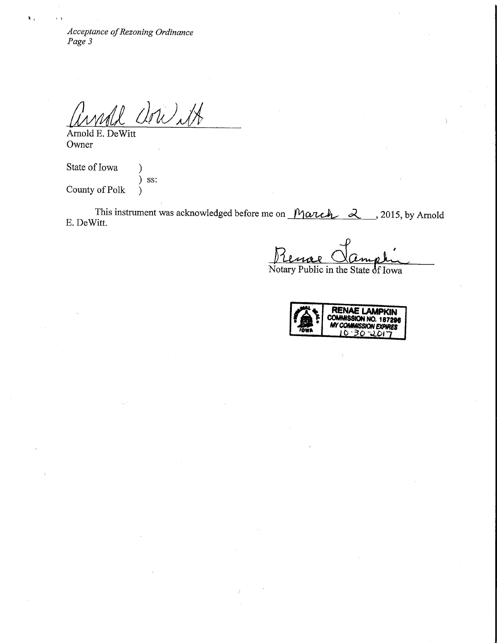$P_{\alpha\alpha\beta}$  3 Page 3

anall and 14

Owner

 $\mathbf{A}$ 

State of Iowa (1) ) ss: County of Polk )

This instrument was acknowledged before me on  $\mathcal{M}$   $\alpha$   $\mathcal{L}$   $\alpha$   $\mathcal{L}$ , 2015, by Arnold E. DeWitt.

Notary Public in the State 6f Iowa